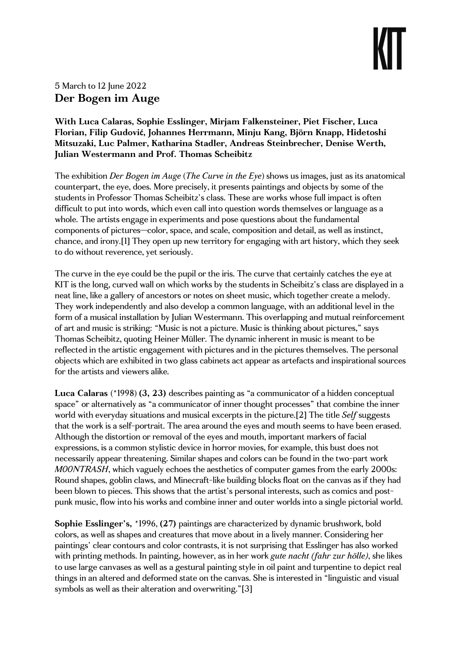# 5 March to 12 June 2022 Der Bogen im Auge

## With Luca Calaras, Sophie Esslinger, Mirjam Falkensteiner, Piet Fischer, Luca Florian, Filip Gudović, Johannes Herrmann, Minju Kang, Björn Knapp, Hidetoshi Mitsuzaki, Luc Palmer, Katharina Stadler, Andreas Steinbrecher, Denise Werth, Julian Westermann and Prof. Thomas Scheibitz

The exhibition Der Bogen im Auge (The Curve in the Eye) shows us images, just as its anatomical counterpart, the eye, does. More precisely, it presents paintings and objects by some of the students in Professor Thomas Scheibitz's class. These are works whose full impact is often difficult to put into words, which even call into question words themselves or language as a whole. The artists engage in experiments and pose questions about the fundamental components of pictures—color, space, and scale, composition and detail, as well as instinct, chance, and irony.[1] They open up new territory for engaging with art history, which they seek to do without reverence, yet seriously.

The curve in the eye could be the pupil or the iris. The curve that certainly catches the eye at KIT is the long, curved wall on which works by the students in Scheibitz's class are displayed in a neat line, like a gallery of ancestors or notes on sheet music, which together create a melody. They work independently and also develop a common language, with an additional level in the form of a musical installation by Julian Westermann. This overlapping and mutual reinforcement of art and music is striking: "Music is not a picture. Music is thinking about pictures," says Thomas Scheibitz, quoting Heiner Müller. The dynamic inherent in music is meant to be reflected in the artistic engagement with pictures and in the pictures themselves. The personal objects which are exhibited in two glass cabinets act appear as artefacts and inspirational sources for the artists and viewers alike.

Luca Calaras (\*1998) (3, 23) describes painting as "a communicator of a hidden conceptual space" or alternatively as "a communicator of inner thought processes" that combine the inner world with everyday situations and musical excerpts in the picture.[2] The title Self suggests that the work is a self-portrait. The area around the eyes and mouth seems to have been erased. Although the distortion or removal of the eyes and mouth, important markers of facial expressions, is a common stylistic device in horror movies, for example, this bust does not necessarily appear threatening. Similar shapes and colors can be found in the two-part work M00NTRASH, which vaguely echoes the aesthetics of computer games from the early 2000s: Round shapes, goblin claws, and Minecraft-like building blocks float on the canvas as if they had been blown to pieces. This shows that the artist's personal interests, such as comics and postpunk music, flow into his works and combine inner and outer worlds into a single pictorial world.

Sophie Esslinger's, \*1996, (27) paintings are characterized by dynamic brushwork, bold colors, as well as shapes and creatures that move about in a lively manner. Considering her paintings' clear contours and color contrasts, it is not surprising that Esslinger has also worked with printing methods. In painting, however, as in her work *gute nacht (fahr zur hölle)*, she likes to use large canvases as well as a gestural painting style in oil paint and turpentine to depict real things in an altered and deformed state on the canvas. She is interested in "linguistic and visual symbols as well as their alteration and overwriting."[3]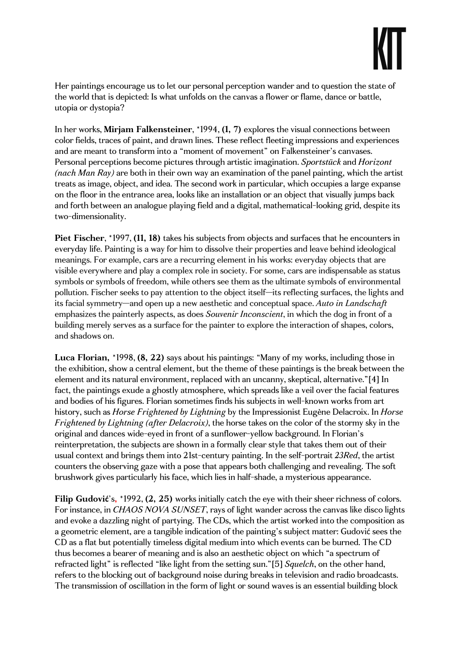Her paintings encourage us to let our personal perception wander and to question the state of the world that is depicted: Is what unfolds on the canvas a flower or flame, dance or battle, utopia or dystopia?

In her works, Mirjam Falkensteiner, \*1994, (1, 7) explores the visual connections between color fields, traces of paint, and drawn lines. These reflect fleeting impressions and experiences and are meant to transform into a "moment of movement" on Falkensteiner's canvases. Personal perceptions become pictures through artistic imagination. Sportstück and Horizont  $(nach Man Ray)$  are both in their own way an examination of the panel painting, which the artist treats as image, object, and idea. The second work in particular, which occupies a large expanse on the floor in the entrance area, looks like an installation or an object that visually jumps back and forth between an analogue playing field and a digital, mathematical-looking grid, despite its two-dimensionality.

Piet Fischer, \*1997, (11, 18) takes his subjects from objects and surfaces that he encounters in everyday life. Painting is a way for him to dissolve their properties and leave behind ideological meanings. For example, cars are a recurring element in his works: everyday objects that are visible everywhere and play a complex role in society. For some, cars are indispensable as status symbols or symbols of freedom, while others see them as the ultimate symbols of environmental pollution. Fischer seeks to pay attention to the object itself—its reflecting surfaces, the lights and its facial symmetry—and open up a new aesthetic and conceptual space. Auto in Landschaft emphasizes the painterly aspects, as does *Souvenir Inconscient*, in which the dog in front of a building merely serves as a surface for the painter to explore the interaction of shapes, colors, and shadows on.

Luca Florian, \*1998, (8, 22) says about his paintings: "Many of my works, including those in the exhibition, show a central element, but the theme of these paintings is the break between the element and its natural environment, replaced with an uncanny, skeptical, alternative."[4] In fact, the paintings exude a ghostly atmosphere, which spreads like a veil over the facial features and bodies of his figures. Florian sometimes finds his subjects in well-known works from art history, such as Horse Frightened by Lightning by the Impressionist Eugène Delacroix. In Horse Frightened by Lightning (after Delacroix), the horse takes on the color of the stormy sky in the original and dances wide-eyed in front of a sunflower-yellow background. In Florian's reinterpretation, the subjects are shown in a formally clear style that takes them out of their usual context and brings them into 21st-century painting. In the self-portrait 23Red, the artist counters the observing gaze with a pose that appears both challenging and revealing. The soft brushwork gives particularly his face, which lies in half-shade, a mysterious appearance.

Filip Gudović's, \*1992, (2, 25) works initially catch the eye with their sheer richness of colors. For instance, in CHAOS NOVA SUNSET, rays of light wander across the canvas like disco lights and evoke a dazzling night of partying. The CDs, which the artist worked into the composition as a geometric element, are a tangible indication of the painting's subject matter: Gudović sees the CD as a flat but potentially timeless digital medium into which events can be burned. The CD thus becomes a bearer of meaning and is also an aesthetic object on which "a spectrum of refracted light" is reflected "like light from the setting sun."[5] Squelch, on the other hand, refers to the blocking out of background noise during breaks in television and radio broadcasts. The transmission of oscillation in the form of light or sound waves is an essential building block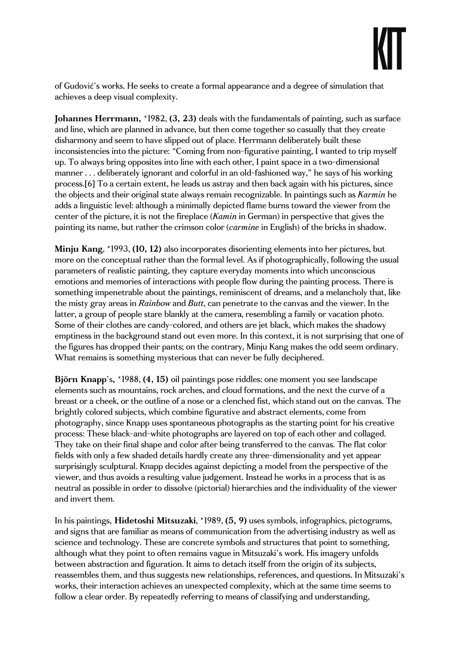of Gudović's works. He seeks to create a formal appearance and a degree of simulation that achieves a deep visual complexity.

Johannes Herrmann, \*1982, (3, 23) deals with the fundamentals of painting, such as surface and line, which are planned in advance, but then come together so casually that they create disharmony and seem to have slipped out of place. Herrmann deliberately built these inconsistencies into the picture: "Coming from non-figurative painting, I wanted to trip myself up. To always bring opposites into line with each other, I paint space in a two-dimensional manner . . . deliberately ignorant and colorful in an old-fashioned way," he says of his working process.[6] To a certain extent, he leads us astray and then back again with his pictures, since the objects and their original state always remain recognizable. In paintings such as Karmin he adds a linguistic level: although a minimally depicted flame burns toward the viewer from the center of the picture, it is not the fireplace (Kamin in German) in perspective that gives the painting its name, but rather the crimson color (carmine in English) of the bricks in shadow.

Minju Kang, \*1993, (10, 12) also incorporates disorienting elements into her pictures, but more on the conceptual rather than the formal level. As if photographically, following the usual parameters of realistic painting, they capture everyday moments into which unconscious emotions and memories of interactions with people flow during the painting process. There is something impenetrable about the paintings, reminiscent of dreams, and a melancholy that, like the misty gray areas in Rainbow and Butt, can penetrate to the canvas and the viewer. In the latter, a group of people stare blankly at the camera, resembling a family or vacation photo. Some of their clothes are candy-colored, and others are jet black, which makes the shadowy emptiness in the background stand out even more. In this context, it is not surprising that one of the figures has dropped their pants; on the contrary, Minju Kang makes the odd seem ordinary. What remains is something mysterious that can never be fully deciphered.

Björn Knapp's, \*1988, (4, 15) oil paintings pose riddles: one moment you see landscape elements such as mountains, rock arches, and cloud formations, and the next the curve of a breast or a cheek, or the outline of a nose or a clenched fist, which stand out on the canvas. The brightly colored subjects, which combine figurative and abstract elements, come from photography, since Knapp uses spontaneous photographs as the starting point for his creative process: These black-and-white photographs are layered on top of each other and collaged. They take on their final shape and color after being transferred to the canvas. The flat color fields with only a few shaded details hardly create any three-dimensionality and yet appear surprisingly sculptural. Knapp decides against depicting a model from the perspective of the viewer, and thus avoids a resulting value judgement. Instead he works in a process that is as neutral as possible in order to dissolve (pictorial) hierarchies and the individuality of the viewer and invert them.

In his paintings, Hidetoshi Mitsuzaki, \*1989, (5, 9) uses symbols, infographics, pictograms, and signs that are familiar as means of communication from the advertising industry as well as science and technology. These are concrete symbols and structures that point to something, although what they point to often remains vague in Mitsuzaki's work. His imagery unfolds between abstraction and figuration. It aims to detach itself from the origin of its subjects, reassembles them, and thus suggests new relationships, references, and questions. In Mitsuzaki's works, their interaction achieves an unexpected complexity, which at the same time seems to follow a clear order. By repeatedly referring to means of classifying and understanding,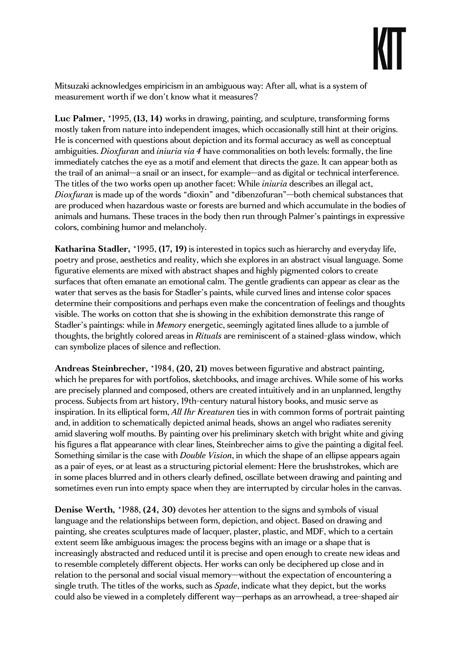Mitsuzaki acknowledges empiricism in an ambiguous way: After all, what is a system of measurement worth if we don't know what it measures?

Luc Palmer, \*1995, (13, 14) works in drawing, painting, and sculpture, transforming forms mostly taken from nature into independent images, which occasionally still hint at their origins. He is concerned with questions about depiction and its formal accuracy as well as conceptual ambiguities. *Dioxfuran* and *iniuria via 4* have commonalities on both levels: formally, the line immediately catches the eye as a motif and element that directs the gaze. It can appear both as the trail of an animal—a snail or an insect, for example—and as digital or technical interference. The titles of the two works open up another facet: While *iniuria* describes an illegal act, Dioxfuran is made up of the words "dioxin" and "dibenzofuran"—both chemical substances that are produced when hazardous waste or forests are burned and which accumulate in the bodies of animals and humans. These traces in the body then run through Palmer's paintings in expressive colors, combining humor and melancholy.

Katharina Stadler, \*1995, (17, 19) is interested in topics such as hierarchy and everyday life, poetry and prose, aesthetics and reality, which she explores in an abstract visual language. Some figurative elements are mixed with abstract shapes and highly pigmented colors to create surfaces that often emanate an emotional calm. The gentle gradients can appear as clear as the water that serves as the basis for Stadler's paints, while curved lines and intense color spaces determine their compositions and perhaps even make the concentration of feelings and thoughts visible. The works on cotton that she is showing in the exhibition demonstrate this range of Stadler's paintings: while in Memory energetic, seemingly agitated lines allude to a jumble of thoughts, the brightly colored areas in Rituals are reminiscent of a stained-glass window, which can symbolize places of silence and reflection.

Andreas Steinbrecher, \*1984, (20, 21) moves between figurative and abstract painting, which he prepares for with portfolios, sketchbooks, and image archives. While some of his works are precisely planned and composed, others are created intuitively and in an unplanned, lengthy process. Subjects from art history, 19th-century natural history books, and music serve as inspiration. In its elliptical form, All Ihr Kreaturen ties in with common forms of portrait painting and, in addition to schematically depicted animal heads, shows an angel who radiates serenity amid slavering wolf mouths. By painting over his preliminary sketch with bright white and giving his figures a flat appearance with clear lines, Steinbrecher aims to give the painting a digital feel. Something similar is the case with *Double Vision*, in which the shape of an ellipse appears again as a pair of eyes, or at least as a structuring pictorial element: Here the brushstrokes, which are in some places blurred and in others clearly defined, oscillate between drawing and painting and sometimes even run into empty space when they are interrupted by circular holes in the canvas.

Denise Werth, \*1988, (24, 30) devotes her attention to the signs and symbols of visual language and the relationships between form, depiction, and object. Based on drawing and painting, she creates sculptures made of lacquer, plaster, plastic, and MDF, which to a certain extent seem like ambiguous images: the process begins with an image or a shape that is increasingly abstracted and reduced until it is precise and open enough to create new ideas and to resemble completely different objects. Her works can only be deciphered up close and in relation to the personal and social visual memory—without the expectation of encountering a single truth. The titles of the works, such as *Spade*, indicate what they depict, but the works could also be viewed in a completely different way—perhaps as an arrowhead, a tree-shaped air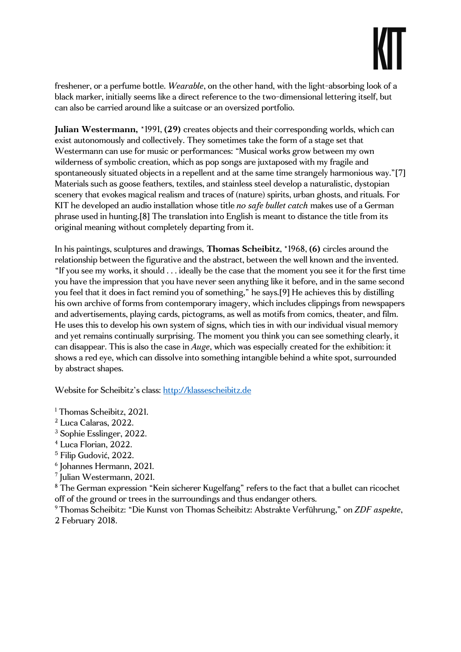freshener, or a perfume bottle. Wearable, on the other hand, with the light-absorbing look of a black marker, initially seems like a direct reference to the two-dimensional lettering itself, but can also be carried around like a suitcase or an oversized portfolio.

Julian Westermann, \*1991, (29) creates objects and their corresponding worlds, which can exist autonomously and collectively. They sometimes take the form of a stage set that Westermann can use for music or performances: "Musical works grow between my own wilderness of symbolic creation, which as pop songs are juxtaposed with my fragile and spontaneously situated objects in a repellent and at the same time strangely harmonious way."[7] Materials such as goose feathers, textiles, and stainless steel develop a naturalistic, dystopian scenery that evokes magical realism and traces of (nature) spirits, urban ghosts, and rituals. For KIT he developed an audio installation whose title no safe bullet catch makes use of a German phrase used in hunting.[8] The translation into English is meant to distance the title from its original meaning without completely departing from it.

In his paintings, sculptures and drawings, Thomas Scheibitz, \*1968, (6) circles around the relationship between the figurative and the abstract, between the well known and the invented. "If you see my works, it should . . . ideally be the case that the moment you see it for the first time you have the impression that you have never seen anything like it before, and in the same second you feel that it does in fact remind you of something," he says.[9] He achieves this by distilling his own archive of forms from contemporary imagery, which includes clippings from newspapers and advertisements, playing cards, pictograms, as well as motifs from comics, theater, and film. He uses this to develop his own system of signs, which ties in with our individual visual memory and yet remains continually surprising. The moment you think you can see something clearly, it can disappear. This is also the case in Auge, which was especially created for the exhibition: it shows a red eye, which can dissolve into something intangible behind a white spot, surrounded by abstract shapes.

Website for Scheibitz's class: http://klassescheibitz.de

1 Thomas Scheibitz, 2021.

- 2 Luca Calaras, 2022.
- <sup>3</sup> Sophie Esslinger, 2022.
- 4 Luca Florian, 2022.
- 5 Filip Gudović, 2022.
- 6 Johannes Hermann, 2021.
- 7 Julian Westermann, 2021.

<sup>8</sup> The German expression "Kein sicherer Kugelfang" refers to the fact that a bullet can ricochet off of the ground or trees in the surroundings and thus endanger others.

<sup>9</sup>Thomas Scheibitz: "Die Kunst von Thomas Scheibitz: Abstrakte Verführung," on ZDF aspekte, 2 February 2018.